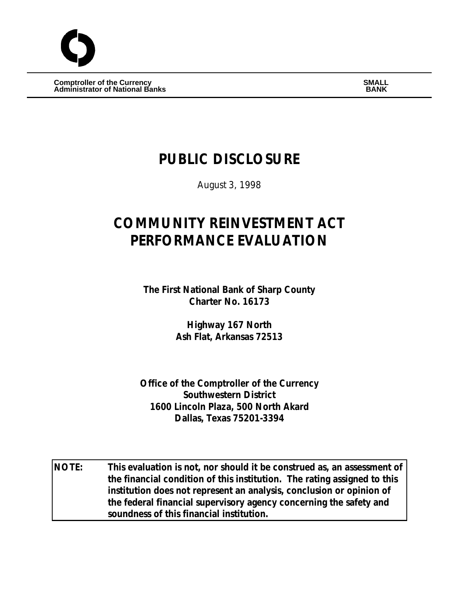$\begin{array}{ccc} \textbf{Compt} & \textbf{SMALL} \end{array}$ **Administrator of National Banks BANK**

# **PUBLIC DISCLOSURE**

August 3, 1998

# **COMMUNITY REINVESTMENT ACT PERFORMANCE EVALUATION**

**The First National Bank of Sharp County Charter No. 16173**

> **Highway 167 North Ash Flat, Arkansas 72513**

**Office of the Comptroller of the Currency Southwestern District 1600 Lincoln Plaza, 500 North Akard Dallas, Texas 75201-3394**

**NOTE: This evaluation is not, nor should it be construed as, an assessment of the financial condition of this institution. The rating assigned to this institution does not represent an analysis, conclusion or opinion of the federal financial supervisory agency concerning the safety and soundness of this financial institution.**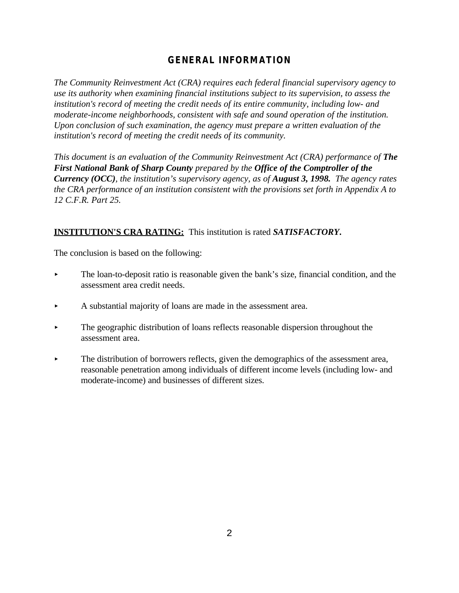# **GENERAL INFORMATION**

*The Community Reinvestment Act (CRA) requires each federal financial supervisory agency to use its authority when examining financial institutions subject to its supervision, to assess the institution's record of meeting the credit needs of its entire community, including low- and moderate-income neighborhoods, consistent with safe and sound operation of the institution. Upon conclusion of such examination, the agency must prepare a written evaluation of the institution's record of meeting the credit needs of its community.* 

*This document is an evaluation of the Community Reinvestment Act (CRA) performance of The First National Bank of Sharp County prepared by the Office of the Comptroller of the Currency (OCC), the institution's supervisory agency, as of August 3, 1998. The agency rates the CRA performance of an institution consistent with the provisions set forth in Appendix A to 12 C.F.R. Part 25.*

# **INSTITUTION'S CRA RATING:** This institution is rated *SATISFACTORY***.**

The conclusion is based on the following:

- $\blacktriangleright$  The loan-to-deposit ratio is reasonable given the bank's size, financial condition, and the assessment area credit needs.
- $\blacktriangleright$  A substantial majority of loans are made in the assessment area.
- $\blacktriangleright$  The geographic distribution of loans reflects reasonable dispersion throughout the assessment area.
- The distribution of borrowers reflects, given the demographics of the assessment area, reasonable penetration among individuals of different income levels (including low- and moderate-income) and businesses of different sizes.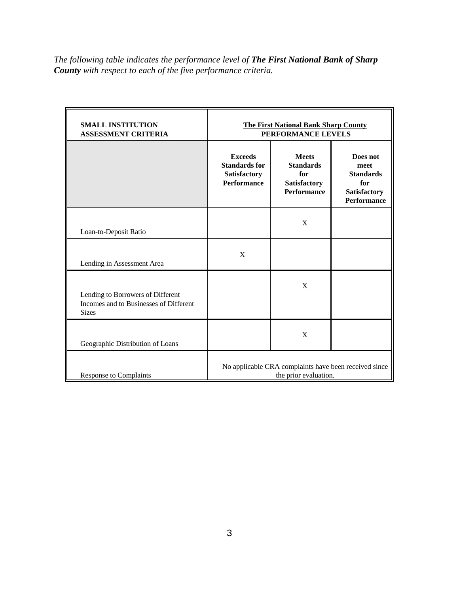*The following table indicates the performance level of The First National Bank of Sharp County with respect to each of the five performance criteria.*

| <b>SMALL INSTITUTION</b><br><b>ASSESSMENT CRITERIA</b>                                      | <b>The First National Bank Sharp County</b><br>PERFORMANCE LEVELS              |                                                                               |                                                                                   |  |  |  |
|---------------------------------------------------------------------------------------------|--------------------------------------------------------------------------------|-------------------------------------------------------------------------------|-----------------------------------------------------------------------------------|--|--|--|
|                                                                                             | <b>Exceeds</b><br><b>Standards for</b><br>Satisfactory<br><b>Performance</b>   | <b>Meets</b><br><b>Standards</b><br>for<br>Satisfactory<br><b>Performance</b> | Does not<br>meet<br><b>Standards</b><br>for<br>Satisfactory<br><b>Performance</b> |  |  |  |
| Loan-to-Deposit Ratio                                                                       |                                                                                | X                                                                             |                                                                                   |  |  |  |
| Lending in Assessment Area                                                                  | X                                                                              |                                                                               |                                                                                   |  |  |  |
| Lending to Borrowers of Different<br>Incomes and to Businesses of Different<br><b>Sizes</b> |                                                                                | X                                                                             |                                                                                   |  |  |  |
| Geographic Distribution of Loans                                                            |                                                                                | X                                                                             |                                                                                   |  |  |  |
| <b>Response to Complaints</b>                                                               | No applicable CRA complaints have been received since<br>the prior evaluation. |                                                                               |                                                                                   |  |  |  |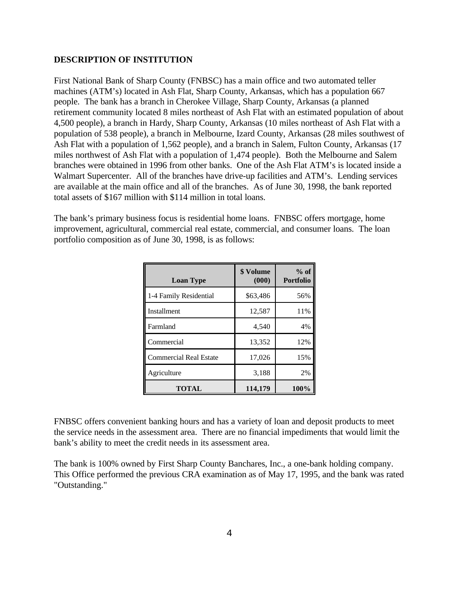### **DESCRIPTION OF INSTITUTION**

First National Bank of Sharp County (FNBSC) has a main office and two automated teller machines (ATM's) located in Ash Flat, Sharp County, Arkansas, which has a population 667 people. The bank has a branch in Cherokee Village, Sharp County, Arkansas (a planned retirement community located 8 miles northeast of Ash Flat with an estimated population of about 4,500 people), a branch in Hardy, Sharp County, Arkansas (10 miles northeast of Ash Flat with a population of 538 people), a branch in Melbourne, Izard County, Arkansas (28 miles southwest of Ash Flat with a population of 1,562 people), and a branch in Salem, Fulton County, Arkansas (17 miles northwest of Ash Flat with a population of 1,474 people). Both the Melbourne and Salem branches were obtained in 1996 from other banks. One of the Ash Flat ATM's is located inside a Walmart Supercenter. All of the branches have drive-up facilities and ATM's. Lending services are available at the main office and all of the branches. As of June 30, 1998, the bank reported total assets of \$167 million with \$114 million in total loans.

The bank's primary business focus is residential home loans. FNBSC offers mortgage, home improvement, agricultural, commercial real estate, commercial, and consumer loans. The loan portfolio composition as of June 30, 1998, is as follows:

| <b>Loan Type</b>              | \$ Volume<br>(000) | $%$ of<br><b>Portfolio</b> |
|-------------------------------|--------------------|----------------------------|
| 1-4 Family Residential        | \$63,486           | 56%                        |
| Installment                   | 12,587             | 11%                        |
| Farmland                      | 4,540              | 4%                         |
| Commercial                    | 13,352             | 12%                        |
| <b>Commercial Real Estate</b> | 17,026             | 15%                        |
| Agriculture                   | 3,188              | 2%                         |
| TOTAL                         | 114,179            | 100%                       |

FNBSC offers convenient banking hours and has a variety of loan and deposit products to meet the service needs in the assessment area. There are no financial impediments that would limit the bank's ability to meet the credit needs in its assessment area.

The bank is 100% owned by First Sharp County Banchares, Inc., a one-bank holding company. This Office performed the previous CRA examination as of May 17, 1995, and the bank was rated "Outstanding."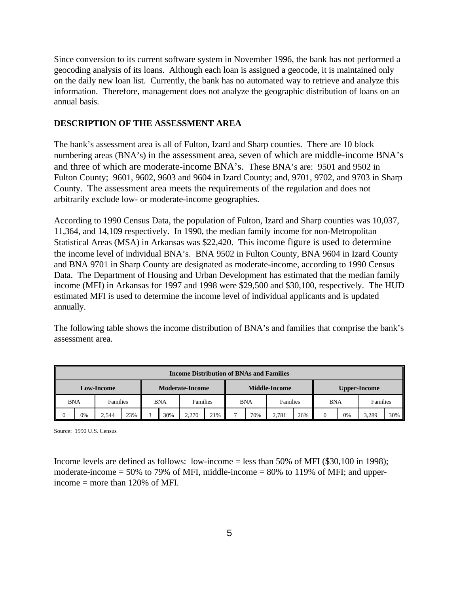Since conversion to its current software system in November 1996, the bank has not performed a geocoding analysis of its loans. Although each loan is assigned a geocode, it is maintained only on the daily new loan list. Currently, the bank has no automated way to retrieve and analyze this information. Therefore, management does not analyze the geographic distribution of loans on an annual basis.

# **DESCRIPTION OF THE ASSESSMENT AREA**

The bank's assessment area is all of Fulton, Izard and Sharp counties. There are 10 block numbering areas (BNA's) in the assessment area, seven of which are middle-income BNA's and three of which are moderate-income BNA's. These BNA's are: 9501 and 9502 in Fulton County; 9601, 9602, 9603 and 9604 in Izard County; and, 9701, 9702, and 9703 in Sharp County. The assessment area meets the requirements of the regulation and does not arbitrarily exclude low- or moderate-income geographies.

According to 1990 Census Data, the population of Fulton, Izard and Sharp counties was 10,037, 11,364, and 14,109 respectively. In 1990, the median family income for non-Metropolitan Statistical Areas (MSA) in Arkansas was \$22,420. This income figure is used to determine the income level of individual BNA's. BNA 9502 in Fulton County, BNA 9604 in Izard County and BNA 9701 in Sharp County are designated as moderate-income, according to 1990 Census Data. The Department of Housing and Urban Development has estimated that the median family income (MFI) in Arkansas for 1997 and 1998 were \$29,500 and \$30,100, respectively. The HUD estimated MFI is used to determine the income level of individual applicants and is updated annually.

The following table shows the income distribution of BNA's and families that comprise the bank's assessment area.

| <b>Income Distribution of BNAs and Families</b> |            |          |     |   |            |                      |     |                        |                     |       |            |  |          |       |     |
|-------------------------------------------------|------------|----------|-----|---|------------|----------------------|-----|------------------------|---------------------|-------|------------|--|----------|-------|-----|
| <b>Moderate-Income</b><br><b>Low-Income</b>     |            |          |     |   |            | <b>Middle-Income</b> |     |                        | <b>Upper-Income</b> |       |            |  |          |       |     |
|                                                 | <b>BNA</b> | Families |     |   | <b>BNA</b> | <b>Families</b>      |     | <b>BNA</b><br>Families |                     |       | <b>BNA</b> |  | Families |       |     |
|                                                 | 0%         | 2.544    | 23% | ⌒ | 30%        | 2.270                | 21% |                        | 70%                 | 2.781 | 26%        |  | 0%       | 3.289 | 30% |

Source: 1990 U.S. Census

Income levels are defined as follows: low-income = less than 50% of MFI (\$30,100 in 1998); moderate-income  $= 50\%$  to 79% of MFI, middle-income  $= 80\%$  to 119% of MFI; and upperincome  $=$  more than 120% of MFI.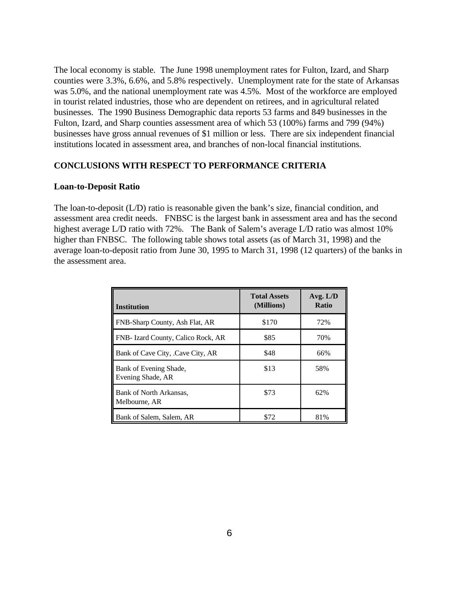The local economy is stable. The June 1998 unemployment rates for Fulton, Izard, and Sharp counties were 3.3%, 6.6%, and 5.8% respectively. Unemployment rate for the state of Arkansas was 5.0%, and the national unemployment rate was 4.5%. Most of the workforce are employed in tourist related industries, those who are dependent on retirees, and in agricultural related businesses. The 1990 Business Demographic data reports 53 farms and 849 businesses in the Fulton, Izard, and Sharp counties assessment area of which 53 (100%) farms and 799 (94%) businesses have gross annual revenues of \$1 million or less. There are six independent financial institutions located in assessment area, and branches of non-local financial institutions.

## **CONCLUSIONS WITH RESPECT TO PERFORMANCE CRITERIA**

#### **Loan-to-Deposit Ratio**

The loan-to-deposit (L/D) ratio is reasonable given the bank's size, financial condition, and assessment area credit needs. FNBSC is the largest bank in assessment area and has the second highest average L/D ratio with 72%. The Bank of Salem's average L/D ratio was almost 10% higher than FNBSC. The following table shows total assets (as of March 31, 1998) and the average loan-to-deposit ratio from June 30, 1995 to March 31, 1998 (12 quarters) of the banks in the assessment area.

| <b>Institution</b>                          | <b>Total Assets</b><br>(Millions) | Avg. $L/D$<br><b>Ratio</b> |
|---------------------------------------------|-----------------------------------|----------------------------|
| FNB-Sharp County, Ash Flat, AR              | \$170                             | 72%                        |
| FNB- Izard County, Calico Rock, AR          | \$85                              | 70%                        |
| Bank of Cave City, .Cave City, AR           | \$48                              | 66%                        |
| Bank of Evening Shade,<br>Evening Shade, AR | \$13                              | 58%                        |
| Bank of North Arkansas,<br>Melbourne, AR    | \$73                              | 62%                        |
| Bank of Salem, Salem, AR                    | \$72                              | 81%                        |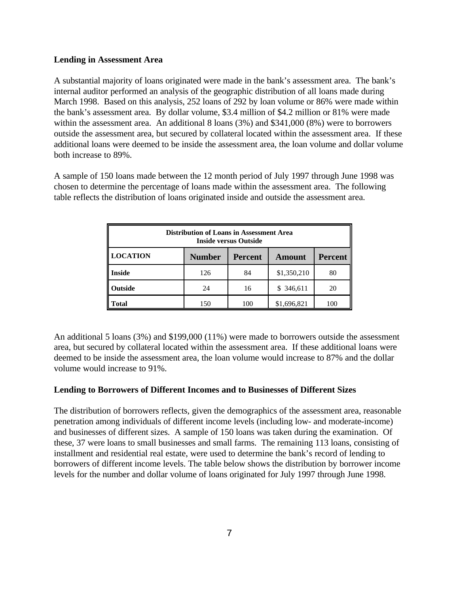## **Lending in Assessment Area**

A substantial majority of loans originated were made in the bank's assessment area. The bank's internal auditor performed an analysis of the geographic distribution of all loans made during March 1998. Based on this analysis, 252 loans of 292 by loan volume or 86% were made within the bank's assessment area. By dollar volume, \$3.4 million of \$4.2 million or 81% were made within the assessment area. An additional 8 loans (3%) and \$341,000 (8%) were to borrowers outside the assessment area, but secured by collateral located within the assessment area. If these additional loans were deemed to be inside the assessment area, the loan volume and dollar volume both increase to 89%.

A sample of 150 loans made between the 12 month period of July 1997 through June 1998 was chosen to determine the percentage of loans made within the assessment area. The following table reflects the distribution of loans originated inside and outside the assessment area.

| <b>Distribution of Loans in Assessment Area</b><br>Inside versus Outside              |     |     |             |     |  |  |  |  |
|---------------------------------------------------------------------------------------|-----|-----|-------------|-----|--|--|--|--|
| <b>LOCATION</b><br><b>Number</b><br><b>Percent</b><br><b>Percent</b><br><b>Amount</b> |     |     |             |     |  |  |  |  |
| <b>Inside</b>                                                                         | 126 | 84  | \$1,350,210 | 80  |  |  |  |  |
| Outside                                                                               | 24  | 16  | \$ 346,611  | 20  |  |  |  |  |
| Fotal                                                                                 | 150 | 100 | \$1,696,821 | 100 |  |  |  |  |

An additional 5 loans (3%) and \$199,000 (11%) were made to borrowers outside the assessment area, but secured by collateral located within the assessment area. If these additional loans were deemed to be inside the assessment area, the loan volume would increase to 87% and the dollar volume would increase to 91%.

# **Lending to Borrowers of Different Incomes and to Businesses of Different Sizes**

The distribution of borrowers reflects, given the demographics of the assessment area, reasonable penetration among individuals of different income levels (including low- and moderate-income) and businesses of different sizes. A sample of 150 loans was taken during the examination. Of these, 37 were loans to small businesses and small farms. The remaining 113 loans, consisting of installment and residential real estate, were used to determine the bank's record of lending to borrowers of different income levels. The table below shows the distribution by borrower income levels for the number and dollar volume of loans originated for July 1997 through June 1998.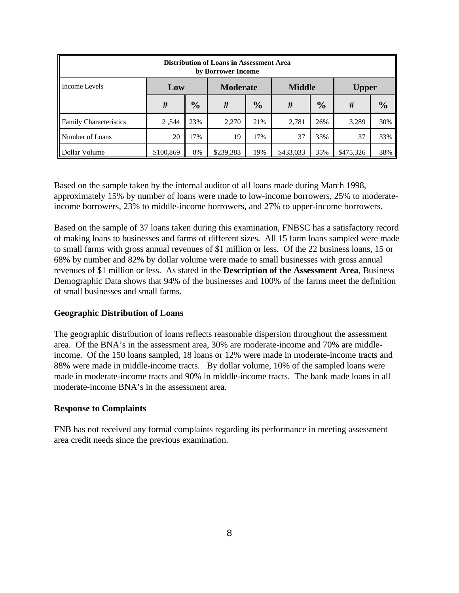| <b>Distribution of Loans in Assessment Area</b><br>by Borrower Income |           |               |                 |               |               |               |              |               |  |  |
|-----------------------------------------------------------------------|-----------|---------------|-----------------|---------------|---------------|---------------|--------------|---------------|--|--|
| Income Levels                                                         | Low       |               | <b>Moderate</b> |               | <b>Middle</b> |               | <b>Upper</b> |               |  |  |
|                                                                       | #         | $\frac{1}{2}$ | #               | $\frac{0}{0}$ | #             | $\frac{0}{0}$ | #            | $\frac{0}{0}$ |  |  |
| <b>Family Characteristics</b>                                         | 2,544     | 23%           | 2.270           | 21%           | 2,781         | 26%           | 3,289        | 30%           |  |  |
| Number of Loans                                                       | 20        | 17%           | 19              | 17%           | 37            | 33%           | 37           | 33%           |  |  |
| Dollar Volume                                                         | \$100,869 | 8%            | \$239,383       | 19%           | \$433,033     | 35%           | \$475,326    | 38%           |  |  |

Based on the sample taken by the internal auditor of all loans made during March 1998, approximately 15% by number of loans were made to low-income borrowers, 25% to moderateincome borrowers, 23% to middle-income borrowers, and 27% to upper-income borrowers.

Based on the sample of 37 loans taken during this examination, FNBSC has a satisfactory record of making loans to businesses and farms of different sizes. All 15 farm loans sampled were made to small farms with gross annual revenues of \$1 million or less. Of the 22 business loans, 15 or 68% by number and 82% by dollar volume were made to small businesses with gross annual revenues of \$1 million or less. As stated in the **Description of the Assessment Area**, Business Demographic Data shows that 94% of the businesses and 100% of the farms meet the definition of small businesses and small farms.

# **Geographic Distribution of Loans**

The geographic distribution of loans reflects reasonable dispersion throughout the assessment area. Of the BNA's in the assessment area, 30% are moderate-income and 70% are middleincome. Of the 150 loans sampled, 18 loans or 12% were made in moderate-income tracts and 88% were made in middle-income tracts. By dollar volume, 10% of the sampled loans were made in moderate-income tracts and 90% in middle-income tracts. The bank made loans in all moderate-income BNA's in the assessment area.

#### **Response to Complaints**

FNB has not received any formal complaints regarding its performance in meeting assessment area credit needs since the previous examination.